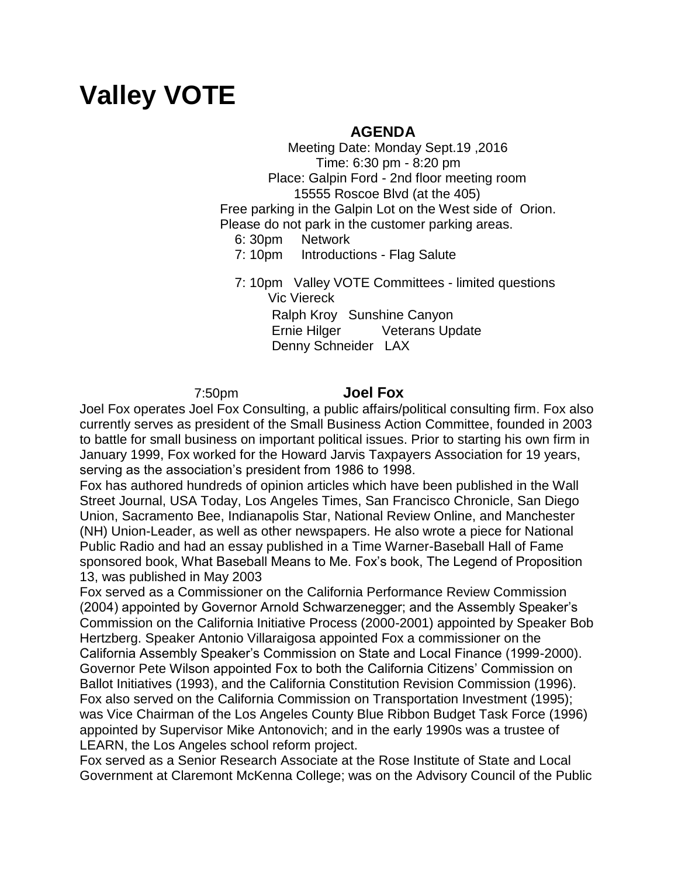# **Valley VOTE**

## **AGENDA**

 Meeting Date: Monday Sept.19 ,2016 Time: 6:30 pm - 8:20 pm Place: Galpin Ford - 2nd floor meeting room 15555 Roscoe Blvd (at the 405) Free parking in the Galpin Lot on the West side of Orion. Please do not park in the customer parking areas.

6: 30pm Network

7: 10pm Introductions - Flag Salute

 7: 10pm Valley VOTE Committees - limited questions Vic Viereck Ralph Kroy Sunshine Canyon Ernie Hilger Veterans Update Denny Schneider LAX

7:50pm **Joel Fox**

Joel Fox operates Joel Fox Consulting, a public affairs/political consulting firm. Fox also currently serves as president of the Small Business Action Committee, founded in 2003 to battle for small business on important political issues. Prior to starting his own firm in January 1999, Fox worked for the Howard Jarvis Taxpayers Association for 19 years, serving as the association's president from 1986 to 1998.

Fox has authored hundreds of opinion articles which have been published in the Wall Street Journal, USA Today, Los Angeles Times, San Francisco Chronicle, San Diego Union, Sacramento Bee, Indianapolis Star, National Review Online, and Manchester (NH) Union-Leader, as well as other newspapers. He also wrote a piece for National Public Radio and had an essay published in a Time Warner-Baseball Hall of Fame sponsored book, What Baseball Means to Me. Fox's book, The Legend of Proposition 13, was published in May 2003

Fox served as a Commissioner on the California Performance Review Commission (2004) appointed by Governor Arnold Schwarzenegger; and the Assembly Speaker's Commission on the California Initiative Process (2000-2001) appointed by Speaker Bob Hertzberg. Speaker Antonio Villaraigosa appointed Fox a commissioner on the California Assembly Speaker's Commission on State and Local Finance (1999-2000). Governor Pete Wilson appointed Fox to both the California Citizens' Commission on Ballot Initiatives (1993), and the California Constitution Revision Commission (1996). Fox also served on the California Commission on Transportation Investment (1995); was Vice Chairman of the Los Angeles County Blue Ribbon Budget Task Force (1996) appointed by Supervisor Mike Antonovich; and in the early 1990s was a trustee of LEARN, the Los Angeles school reform project.

Fox served as a Senior Research Associate at the Rose Institute of State and Local Government at Claremont McKenna College; was on the Advisory Council of the Public